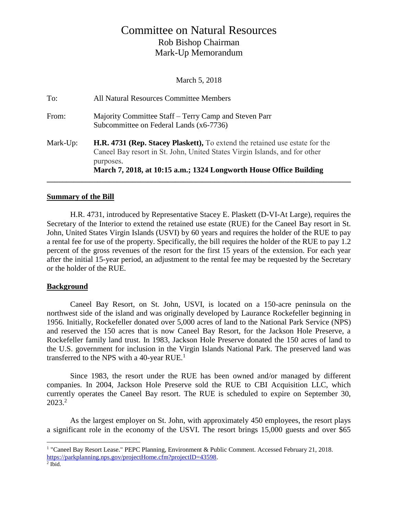# Committee on Natural Resources Rob Bishop Chairman Mark-Up Memorandum

March 5, 2018

| To:      | All Natural Resources Committee Members                                                                                                                                                                                                      |
|----------|----------------------------------------------------------------------------------------------------------------------------------------------------------------------------------------------------------------------------------------------|
| From:    | Majority Committee Staff – Terry Camp and Steven Parr<br>Subcommittee on Federal Lands (x6-7736)                                                                                                                                             |
| Mark-Up: | H.R. 4731 (Rep. Stacey Plaskett), To extend the retained use estate for the<br>Caneel Bay resort in St. John, United States Virgin Islands, and for other<br>purposes.<br>March 7, 2018, at 10:15 a.m.; 1324 Longworth House Office Building |

#### **Summary of the Bill**

H.R. 4731, introduced by Representative Stacey E. Plaskett (D-VI-At Large), requires the Secretary of the Interior to extend the retained use estate (RUE) for the Caneel Bay resort in St. John, United States Virgin Islands (USVI) by 60 years and requires the holder of the RUE to pay a rental fee for use of the property. Specifically, the bill requires the holder of the RUE to pay 1.2 percent of the gross revenues of the resort for the first 15 years of the extension. For each year after the initial 15-year period, an adjustment to the rental fee may be requested by the Secretary or the holder of the RUE.

## **Background**

Caneel Bay Resort, on St. John, USVI, is located on a 150-acre peninsula on the northwest side of the island and was originally developed by Laurance Rockefeller beginning in 1956. Initially, Rockefeller donated over 5,000 acres of land to the National Park Service (NPS) and reserved the 150 acres that is now Caneel Bay Resort, for the Jackson Hole Preserve, a Rockefeller family land trust. In 1983, Jackson Hole Preserve donated the 150 acres of land to the U.S. government for inclusion in the Virgin Islands National Park. The preserved land was transferred to the NPS with a 40-year RUE.<sup>1</sup>

Since 1983, the resort under the RUE has been owned and/or managed by different companies. In 2004, Jackson Hole Preserve sold the RUE to CBI Acquisition LLC, which currently operates the Caneel Bay resort. The RUE is scheduled to expire on September 30, 2023.<sup>2</sup>

As the largest employer on St. John, with approximately 450 employees, the resort plays a significant role in the economy of the USVI. The resort brings 15,000 guests and over \$65

 $\overline{a}$ <sup>1</sup> "Caneel Bay Resort Lease." PEPC Planning, Environment & Public Comment. Accessed February 21, 2018. [https://parkplanning.nps.gov/projectHome.cfm?projectID=43598.](https://parkplanning.nps.gov/projectHome.cfm?projectID=43598)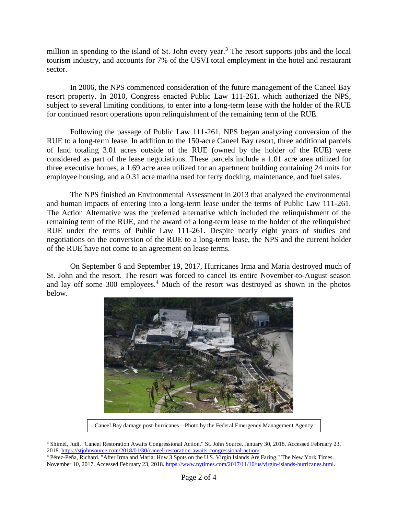million in spending to the island of St. John every year.<sup>3</sup> The resort supports jobs and the local tourism industry, and accounts for 7% of the USVI total employment in the hotel and restaurant sector.

In 2006, the NPS commenced consideration of the future management of the Caneel Bay resort property. In 2010, Congress enacted Public Law 111-261, which authorized the NPS, subject to several limiting conditions, to enter into a long-term lease with the holder of the RUE for continued resort operations upon relinquishment of the remaining term of the RUE.

Following the passage of Public Law 111-261, NPS began analyzing conversion of the RUE to a long-term lease. In addition to the 150-acre Caneel Bay resort, three additional parcels of land totaling 3.01 acres outside of the RUE (owned by the holder of the RUE) were considered as part of the lease negotiations. These parcels include a 1.01 acre area utilized for three executive homes, a 1.69 acre area utilized for an apartment building containing 24 units for employee housing, and a 0.31 acre marina used for ferry docking, maintenance, and fuel sales.

The NPS finished an Environmental Assessment in 2013 that analyzed the environmental and human impacts of entering into a long-term lease under the terms of Public Law 111-261. The Action Alternative was the preferred alternative which included the relinquishment of the remaining term of the RUE, and the award of a long-term lease to the holder of the relinquished RUE under the terms of Public Law 111-261. Despite nearly eight years of studies and negotiations on the conversion of the RUE to a long-term lease, the NPS and the current holder of the RUE have not come to an agreement on lease terms.

On September 6 and September 19, 2017, Hurricanes Irma and Maria destroyed much of St. John and the resort. The resort was forced to cancel its entire November-to-August season and lay off some 300 employees.<sup>4</sup> Much of the resort was destroyed as shown in the photos below.



Caneel Bay damage post-hurricanes – Photo by the Federal Emergency Management Agency

 $\overline{a}$ <sup>3</sup> Shimel, Judi. "Caneel Restoration Awaits Congressional Action." St. John Source. January 30, 2018. Accessed February 23, 2018[. https://stjohnsource.com/2018/01/30/caneel-restoration-awaits-congressional-action/.](https://stjohnsource.com/2018/01/30/caneel-restoration-awaits-congressional-action/)

<sup>4</sup> Pérez-Peña, Richard. "After Irma and Maria: How 3 Spots on the U.S. Virgin Islands Are Faring." The New York Times. November 10, 2017. Accessed February 23, 2018. [https://www.nytimes.com/2017/11/10/us/virgin-islands-hurricanes.html.](https://www.nytimes.com/2017/11/10/us/virgin-islands-hurricanes.html)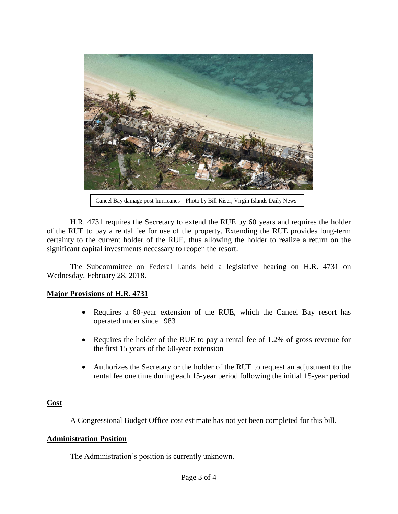

Caneel Bay damage post-hurricanes – Photo by Bill Kiser, Virgin Islands Daily News

H.R. 4731 requires the Secretary to extend the RUE by 60 years and requires the holder of the RUE to pay a rental fee for use of the property. Extending the RUE provides long-term certainty to the current holder of the RUE, thus allowing the holder to realize a return on the significant capital investments necessary to reopen the resort.

The Subcommittee on Federal Lands held a legislative hearing on H.R. 4731 on Wednesday, February 28, 2018.

## **Major Provisions of H.R. 4731**

- Requires a 60-year extension of the RUE, which the Caneel Bay resort has operated under since 1983
- Requires the holder of the RUE to pay a rental fee of 1.2% of gross revenue for the first 15 years of the 60-year extension
- Authorizes the Secretary or the holder of the RUE to request an adjustment to the rental fee one time during each 15-year period following the initial 15-year period

## **Cost**

A Congressional Budget Office cost estimate has not yet been completed for this bill.

## **Administration Position**

The Administration's position is currently unknown.